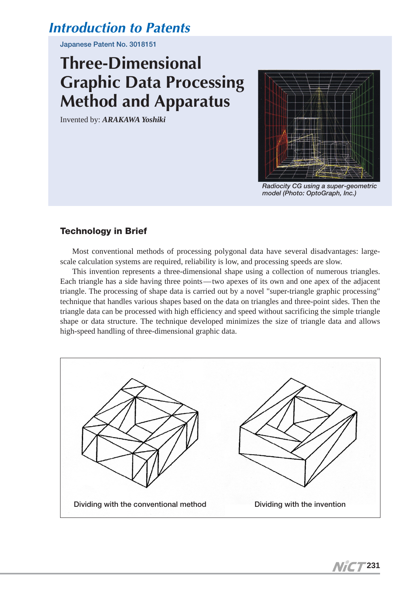# *Introduction to Patents*

**Japanese Patent No. 3018151**

# **Three-Dimensional Graphic Data Processing Method and Apparatus**

Invented by: *ARAKAWA Yoshiki*



*Radiocity CG using a super-geometric model (Photo: OptoGraph, Inc.)*

## **Technology in Brief**

Most conventional methods of processing polygonal data have several disadvantages: largescale calculation systems are required, reliability is low, and processing speeds are slow.

This invention represents a three-dimensional shape using a collection of numerous triangles. Each triangle has a side having three points—two apexes of its own and one apex of the adjacent triangle. The processing of shape data is carried out by a novel "super-triangle graphic processing" technique that handles various shapes based on the data on triangles and three-point sides. Then the triangle data can be processed with high efficiency and speed without sacrificing the simple triangle shape or data structure. The technique developed minimizes the size of triangle data and allows high-speed handling of three-dimensional graphic data.